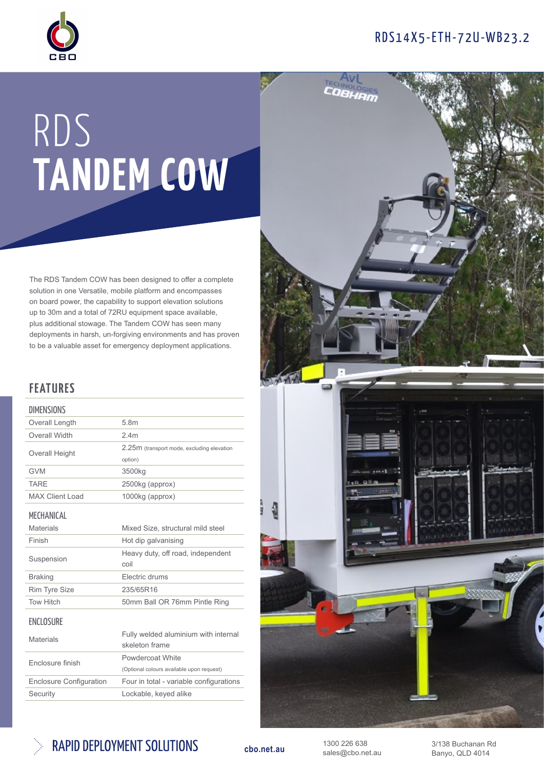## RDS14X5-ETH-72U-WB23.2



# RDS TANDEM COW

The RDS Tandem COW has been designed to offer a complete solution in one Versatile, mobile platform and encompasses on board power, the capability to support elevation solutions up to 30m and a total of 72RU equipment space available, plus additional stowage. The Tandem COW has seen many deployments in harsh, un-forgiving environments and has proven to be a valuable asset for emergency deployment applications.

### FEATURES

#### **DIMENSIONS** Overall Length 5.8m Overall Width 2.4m Overall Height 2.25m (transport mode, excluding elevation option) GVM 3500kg TARE 2500kg (approx) MAX Client Load 1000kg (approx) MECHANICAL Materials Mixed Size, structural mild steel Finish Hot dip galvanising Suspension Heavy duty, off road, independent coil



| Fnclosure finish               | Powdercoat White                          |
|--------------------------------|-------------------------------------------|
|                                | (Optional colours available upon request) |
| <b>Enclosure Configuration</b> | Four in total - variable configurations   |
| Security                       | Lockable, keyed alike                     |
|                                |                                           |





1300 226 638 sales@cbo.net.au